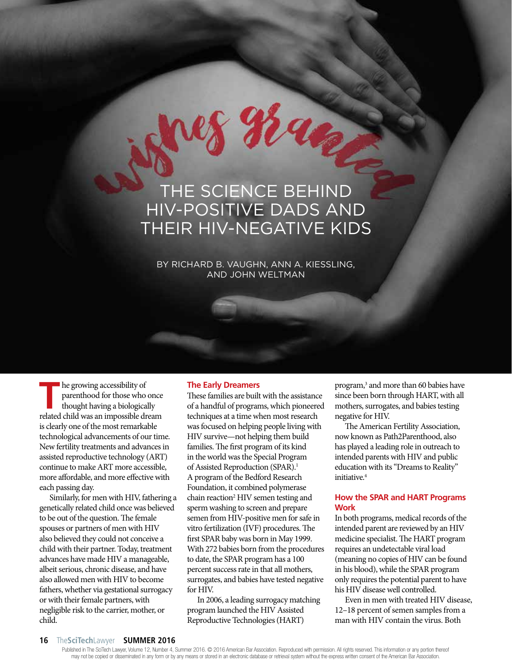# THE SCIENCE BEHIND HIV-POSITIVE DADS AND THEIR HIV-NEGATIVE KIDS

 $964$ 

BY RICHARD B. VAUGHN, ANN A. KIESSLING, AND JOHN WELTMAN

**The growing accessibility of parenthood for those who once thought having a biologically related child was an impossible dream** he growing accessibility of parenthood for those who once thought having a biologically is clearly one of the most remarkable technological advancements of our time. New fertility treatments and advances in assisted reproductive technology (ART) continue to make ART more accessible, more affordable, and more effective with each passing day.

Similarly, for men with HIV, fathering a genetically related child once was believed to be out of the question. The female spouses or partners of men with HIV also believed they could not conceive a child with their partner. Today, treatment advances have made HIV a manageable, albeit serious, chronic disease, and have also allowed men with HIV to become fathers, whether via gestational surrogacy or with their female partners, with negligible risk to the carrier, mother, or child.

### **The Early Dreamers**

These families are built with the assistance of a handful of programs, which pioneered techniques at a time when most research was focused on helping people living with HIV survive—not helping them build families. The first program of its kind in the world was the Special Program of Assisted Reproduction (SPAR).<sup>1</sup> A program of the Bedford Research Foundation, it combined polymerase chain reaction<sup>2</sup> HIV semen testing and sperm washing to screen and prepare semen from HIV-positive men for safe in vitro fertilization (IVF) procedures. The first SPAR baby was born in May 1999. With 272 babies born from the procedures to date, the SPAR program has a 100 percent success rate in that all mothers, surrogates, and babies have tested negative for HIV.

In 2006, a leading surrogacy matching program launched the HIV Assisted Reproductive Technologies (HART)

program,<sup>3</sup> and more than 60 babies have since been born through HART, with all mothers, surrogates, and babies testing negative for HIV.

The American Fertility Association, now known as Path2Parenthood, also has played a leading role in outreach to intended parents with HIV and public education with its "Dreams to Reality" initiative.<sup>4</sup>

# **How the SPAR and HART Programs Work**

In both programs, medical records of the intended parent are reviewed by an HIV medicine specialist. The HART program requires an undetectable viral load (meaning no copies of HIV can be found in his blood), while the SPAR program only requires the potential parent to have his HIV disease well controlled.

Even in men with treated HIV disease, 12–18 percent of semen samples from a man with HIV contain the virus. Both

#### **16** The**SciTech**Lawyer **SUMMER 2016**

Published in The SciTech Lawyer, Volume 12, Number 4, Summer 2016. © 2016 American Bar Association. Reproduced with permission. All rights reserved. This information or any portion thereof may not be copied or disseminated in any form or by any means or stored in an electronic database or retrieval system without the express written consent of the American Bar Association.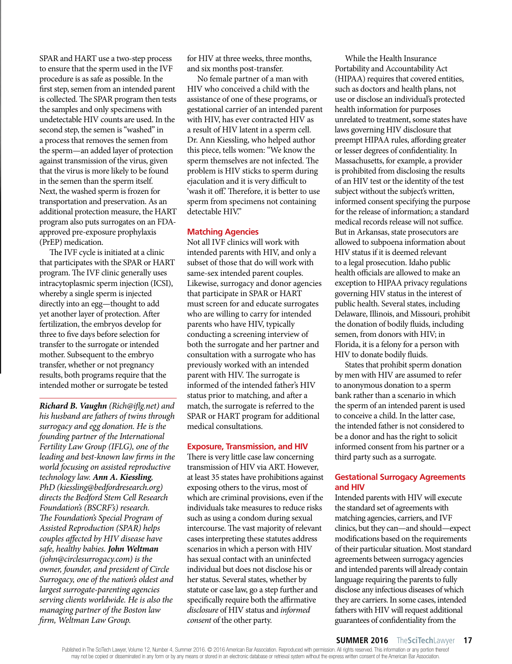SPAR and HART use a two-step process to ensure that the sperm used in the IVF procedure is as safe as possible. In the first step, semen from an intended parent is collected. The SPAR program then tests the samples and only specimens with undetectable HIV counts are used. In the second step, the semen is "washed" in a process that removes the semen from the sperm—an added layer of protection against transmission of the virus, given that the virus is more likely to be found in the semen than the sperm itself. Next, the washed sperm is frozen for transportation and preservation. As an additional protection measure, the HART program also puts surrogates on an FDAapproved pre-exposure prophylaxis (PrEP) medication.

The IVF cycle is initiated at a clinic that participates with the SPAR or HART program. The IVF clinic generally uses intracytoplasmic sperm injection (ICSI), whereby a single sperm is injected directly into an egg—thought to add yet another layer of protection. After fertilization, the embryos develop for three to five days before selection for transfer to the surrogate or intended mother. Subsequent to the embryo transfer, whether or not pregnancy results, both programs require that the intended mother or surrogate be tested

**Richard B. Vaughn** (Rich@iflg.net) and his husband are fathers of twins through surrogacy and egg donation. He is the founding partner of the International Fertility Law Group (IFLG), one of the leading and best-known law firms in the world focusing on assisted reproductive technology law. **Ann A. Kiessling**, PhD (kiessling@bedfordresearch.org) directs the Bedford Stem Cell Research Foundation's (BSCRF's) research. The Foundation's Special Program of Assisted Reproduction (SPAR) helps couples affected by HIV disease have safe, healthy babies. **John Weltman** (john@circlesurrogacy.com) is the owner, founder, and president of Circle Surrogacy, one of the nation's oldest and largest surrogate-parenting agencies serving clients worldwide. He is also the managing partner of the Boston law firm, Weltman Law Group.

for HIV at three weeks, three months, and six months post-transfer.

No female partner of a man with HIV who conceived a child with the assistance of one of these programs, or gestational carrier of an intended parent with HIV, has ever contracted HIV as a result of HIV latent in a sperm cell. Dr. Ann Kiessling, who helped author this piece, tells women: "We know the sperm themselves are not infected. The problem is HIV sticks to sperm during ejaculation and it is very difficult to 'wash it off.' Therefore, it is better to use sperm from specimens not containing detectable HIV."

## **Matching Agencies**

Not all IVF clinics will work with intended parents with HIV, and only a subset of those that do will work with same-sex intended parent couples. Likewise, surrogacy and donor agencies that participate in SPAR or HART must screen for and educate surrogates who are willing to carry for intended parents who have HIV, typically conducting a screening interview of both the surrogate and her partner and consultation with a surrogate who has previously worked with an intended parent with HIV. The surrogate is informed of the intended father's HIV status prior to matching, and after a match, the surrogate is referred to the SPAR or HART program for additional medical consultations.

## **Exposure, Transmission, and HIV**

There is very little case law concerning transmission of HIV via ART. However, at least 35 states have prohibitions against exposing others to the virus, most of which are criminal provisions, even if the individuals take measures to reduce risks such as using a condom during sexual intercourse. The vast majority of relevant cases interpreting these statutes address scenarios in which a person with HIV has sexual contact with an uninfected individual but does not disclose his or her status. Several states, whether by statute or case law, go a step further and specifically require both the affirmative disclosure of HIV status and informed consent of the other party.

While the Health Insurance Portability and Accountability Act (HIPAA) requires that covered entities, such as doctors and health plans, not use or disclose an individual's protected health information for purposes unrelated to treatment, some states have laws governing HIV disclosure that preempt HIPAA rules, affording greater or lesser degrees of confidentiality. In Massachusetts, for example, a provider is prohibited from disclosing the results of an HIV test or the identity of the test subject without the subject's written, informed consent specifying the purpose for the release of information; a standard medical records release will not suffice. But in Arkansas, state prosecutors are allowed to subpoena information about HIV status if it is deemed relevant to a legal prosecution. Idaho public health officials are allowed to make an exception to HIPAA privacy regulations governing HIV status in the interest of public health. Several states, including Delaware, Illinois, and Missouri, prohibit the donation of bodily fluids, including semen, from donors with HIV; in Florida, it is a felony for a person with HIV to donate bodily fluids.

States that prohibit sperm donation by men with HIV are assumed to refer to anonymous donation to a sperm bank rather than a scenario in which the sperm of an intended parent is used to conceive a child. In the latter case, the intended father is not considered to be a donor and has the right to solicit informed consent from his partner or a third party such as a surrogate.

# **Gestational Surrogacy Agreements and HIV**

Intended parents with HIV will execute the standard set of agreements with matching agencies, carriers, and IVF clinics, but they can—and should—expect modifications based on the requirements of their particular situation. Most standard agreements between surrogacy agencies and intended parents will already contain language requiring the parents to fully disclose any infectious diseases of which they are carriers. In some cases, intended fathers with HIV will request additional guarantees of confidentiality from the